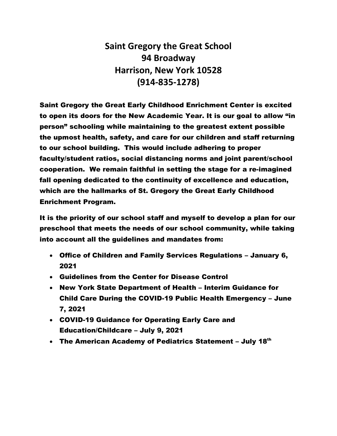**Saint Gregory the Great School 94 Broadway Harrison, New York 10528 (914-835-1278)**

Saint Gregory the Great Early Childhood Enrichment Center is excited to open its doors for the New Academic Year. It is our goal to allow "in person" schooling while maintaining to the greatest extent possible the upmost health, safety, and care for our children and staff returning to our school building. This would include adhering to proper faculty/student ratios, social distancing norms and joint parent/school cooperation. We remain faithful in setting the stage for a re-imagined fall opening dedicated to the continuity of excellence and education, which are the hallmarks of St. Gregory the Great Early Childhood Enrichment Program.

It is the priority of our school staff and myself to develop a plan for our preschool that meets the needs of our school community, while taking into account all the guidelines and mandates from:

- Office of Children and Family Services Regulations January 6, 2021
- Guidelines from the Center for Disease Control
- New York State Department of Health Interim Guidance for Child Care During the COVID-19 Public Health Emergency – June 7, 2021
- COVID-19 Guidance for Operating Early Care and Education/Childcare – July 9, 2021
- The American Academy of Pediatrics Statement July 18th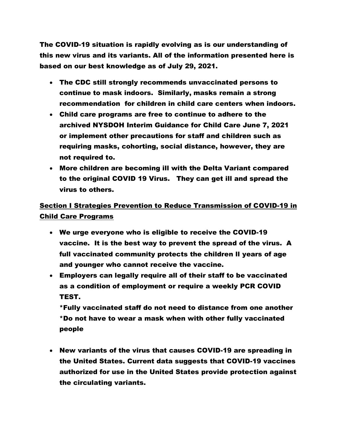The COVID-19 situation is rapidly evolving as is our understanding of this new virus and its variants. All of the information presented here is based on our best knowledge as of July 29, 2021.

- The CDC still strongly recommends unvaccinated persons to continue to mask indoors. Similarly, masks remain a strong recommendation for children in child care centers when indoors.
- Child care programs are free to continue to adhere to the archived NYSDOH Interim Guidance for Child Care June 7, 2021 or implement other precautions for staff and children such as requiring masks, cohorting, social distance, however, they are not required to.
- More children are becoming ill with the Delta Variant compared to the original COVID 19 Virus. They can get ill and spread the virus to others.

# Section I Strategies Prevention to Reduce Transmission of COVID-19 in Child Care Programs

- We urge everyone who is eligible to receive the COVID-19 vaccine. It is the best way to prevent the spread of the virus. A full vaccinated community protects the children ll years of age and younger who cannot receive the vaccine.
- Employers can legally require all of their staff to be vaccinated as a condition of employment or require a weekly PCR COVID TEST.

\*Fully vaccinated staff do not need to distance from one another \*Do not have to wear a mask when with other fully vaccinated people

• New variants of the virus that causes COVID-19 are spreading in the United States. Current data suggests that COVID-19 vaccines authorized for use in the United States provide protection against the circulating variants.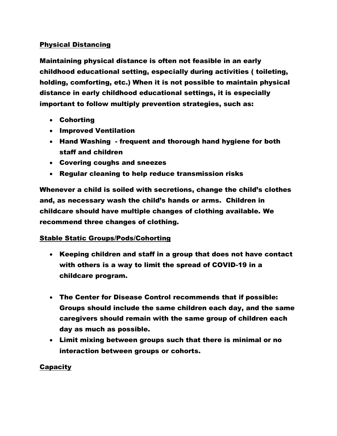## Physical Distancing

Maintaining physical distance is often not feasible in an early childhood educational setting, especially during activities ( toileting, holding, comforting, etc.) When it is not possible to maintain physical distance in early childhood educational settings, it is especially important to follow multiply prevention strategies, such as:

- Cohorting
- Improved Ventilation
- Hand Washing frequent and thorough hand hygiene for both staff and children
- Covering coughs and sneezes
- Regular cleaning to help reduce transmission risks

Whenever a child is soiled with secretions, change the child's clothes and, as necessary wash the child's hands or arms. Children in childcare should have multiple changes of clothing available. We recommend three changes of clothing.

## Stable Static Groups/Pods/Cohorting

- Keeping children and staff in a group that does not have contact with others is a way to limit the spread of COVID-19 in a childcare program.
- The Center for Disease Control recommends that if possible: Groups should include the same children each day, and the same caregivers should remain with the same group of children each day as much as possible.
- Limit mixing between groups such that there is minimal or no interaction between groups or cohorts.

## **Capacity**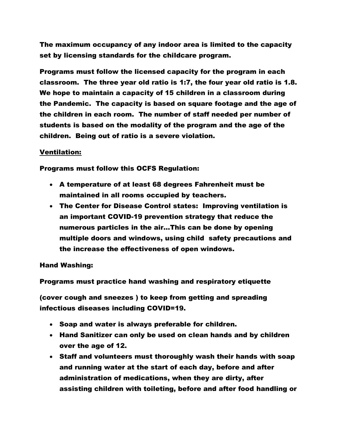The maximum occupancy of any indoor area is limited to the capacity set by licensing standards for the childcare program.

Programs must follow the licensed capacity for the program in each classroom. The three year old ratio is 1:7, the four year old ratio is 1.8. We hope to maintain a capacity of 15 children in a classroom during the Pandemic. The capacity is based on square footage and the age of the children in each room. The number of staff needed per number of students is based on the modality of the program and the age of the children. Being out of ratio is a severe violation.

#### Ventilation:

Programs must follow this OCFS Regulation:

- A temperature of at least 68 degrees Fahrenheit must be maintained in all rooms occupied by teachers.
- The Center for Disease Control states: Improving ventilation is an important COVID-19 prevention strategy that reduce the numerous particles in the air…This can be done by opening multiple doors and windows, using child safety precautions and the increase the effectiveness of open windows.

#### Hand Washing:

Programs must practice hand washing and respiratory etiquette

(cover cough and sneezes ) to keep from getting and spreading infectious diseases including COVID=19.

- Soap and water is always preferable for children.
- Hand Sanitizer can only be used on clean hands and by children over the age of 12.
- Staff and volunteers must thoroughly wash their hands with soap and running water at the start of each day, before and after administration of medications, when they are dirty, after assisting children with toileting, before and after food handling or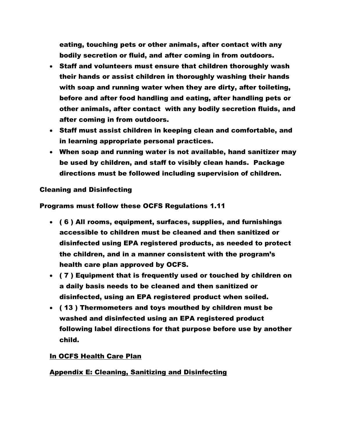eating, touching pets or other animals, after contact with any bodily secretion or fluid, and after coming in from outdoors.

- Staff and volunteers must ensure that children thoroughly wash their hands or assist children in thoroughly washing their hands with soap and running water when they are dirty, after toileting, before and after food handling and eating, after handling pets or other animals, after contact with any bodily secretion fluids, and after coming in from outdoors.
- Staff must assist children in keeping clean and comfortable, and in learning appropriate personal practices.
- When soap and running water is not available, hand sanitizer may be used by children, and staff to visibly clean hands. Package directions must be followed including supervision of children.

#### Cleaning and Disinfecting

Programs must follow these OCFS Regulations 1.11

- ( 6 ) All rooms, equipment, surfaces, supplies, and furnishings accessible to children must be cleaned and then sanitized or disinfected using EPA registered products, as needed to protect the children, and in a manner consistent with the program's health care plan approved by OCFS.
- ( 7 ) Equipment that is frequently used or touched by children on a daily basis needs to be cleaned and then sanitized or disinfected, using an EPA registered product when soiled.
- ( 13 ) Thermometers and toys mouthed by children must be washed and disinfected using an EPA registered product following label directions for that purpose before use by another child.

#### In OCFS Health Care Plan

## Appendix E: Cleaning, Sanitizing and Disinfecting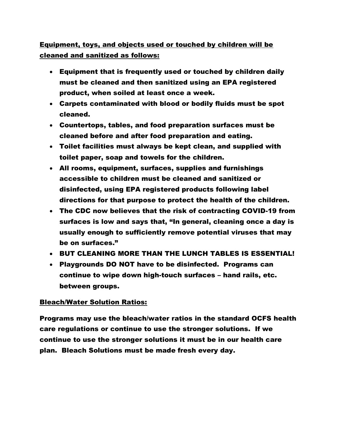Equipment, toys, and objects used or touched by children will be cleaned and sanitized as follows:

- Equipment that is frequently used or touched by children daily must be cleaned and then sanitized using an EPA registered product, when soiled at least once a week.
- Carpets contaminated with blood or bodily fluids must be spot cleaned.
- Countertops, tables, and food preparation surfaces must be cleaned before and after food preparation and eating.
- Toilet facilities must always be kept clean, and supplied with toilet paper, soap and towels for the children.
- All rooms, equipment, surfaces, supplies and furnishings accessible to children must be cleaned and sanitized or disinfected, using EPA registered products following label directions for that purpose to protect the health of the children.
- The CDC now believes that the risk of contracting COVID-19 from surfaces is low and says that, "In general, cleaning once a day is usually enough to sufficiently remove potential viruses that may be on surfaces."
- BUT CLEANING MORE THAN THE LUNCH TABLES IS ESSENTIAL!
- Playgrounds DO NOT have to be disinfected. Programs can continue to wipe down high-touch surfaces – hand rails, etc. between groups.

## Bleach/Water Solution Ratios:

Programs may use the bleach/water ratios in the standard OCFS health care regulations or continue to use the stronger solutions. If we continue to use the stronger solutions it must be in our health care plan. Bleach Solutions must be made fresh every day.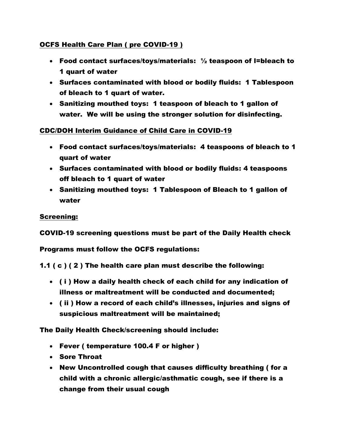## OCFS Health Care Plan ( pre COVID-19 )

- Food contact surfaces/toys/materials: ½ teaspoon of l=bleach to 1 quart of water
- Surfaces contaminated with blood or bodily fluids: 1 Tablespoon of bleach to 1 quart of water.
- Sanitizing mouthed toys: 1 teaspoon of bleach to 1 gallon of water. We will be using the stronger solution for disinfecting.

CDC/DOH Interim Guidance of Child Care in COVID-19

- Food contact surfaces/toys/materials: 4 teaspoons of bleach to 1 quart of water
- Surfaces contaminated with blood or bodily fluids: 4 teaspoons off bleach to 1 quart of water
- Sanitizing mouthed toys: 1 Tablespoon of Bleach to 1 gallon of water

## Screening:

COVID-19 screening questions must be part of the Daily Health check

Programs must follow the OCFS regulations:

1.1 ( c ) ( 2 ) The health care plan must describe the following:

- ( i ) How a daily health check of each child for any indication of illness or maltreatment will be conducted and documented;
- ( ii ) How a record of each child's illnesses, injuries and signs of suspicious maltreatment will be maintained;

The Daily Health Check/screening should include:

- Fever ( temperature 100.4 F or higher )
- Sore Throat
- New Uncontrolled cough that causes difficulty breathing ( for a child with a chronic allergic/asthmatic cough, see if there is a change from their usual cough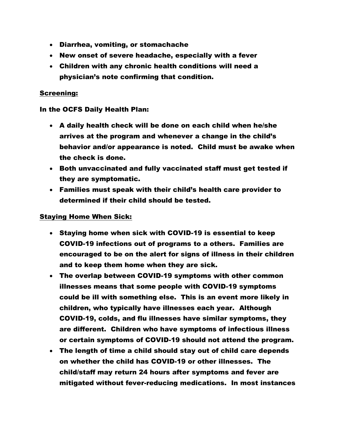- Diarrhea, vomiting, or stomachache
- New onset of severe headache, especially with a fever
- Children with any chronic health conditions will need a physician's note confirming that condition.

#### Screening:

#### In the OCFS Daily Health Plan:

- A daily health check will be done on each child when he/she arrives at the program and whenever a change in the child's behavior and/or appearance is noted. Child must be awake when the check is done.
- Both unvaccinated and fully vaccinated staff must get tested if they are symptomatic.
- Families must speak with their child's health care provider to determined if their child should be tested.

#### Staying Home When Sick:

- Staying home when sick with COVID-19 is essential to keep COVID-19 infections out of programs to a others. Families are encouraged to be on the alert for signs of illness in their children and to keep them home when they are sick.
- The overlap between COVID-19 symptoms with other common illnesses means that some people with COVID-19 symptoms could be ill with something else. This is an event more likely in children, who typically have illnesses each year. Although COVID-19, colds, and flu illnesses have similar symptoms, they are different. Children who have symptoms of infectious illness or certain symptoms of COVID-19 should not attend the program.
- The length of time a child should stay out of child care depends on whether the child has COVID-19 or other illnesses. The child/staff may return 24 hours after symptoms and fever are mitigated without fever-reducing medications. In most instances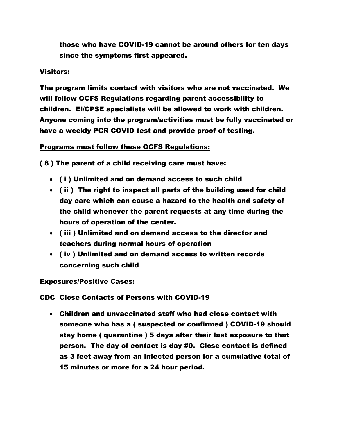those who have COVID-19 cannot be around others for ten days since the symptoms first appeared.

#### Visitors:

The program limits contact with visitors who are not vaccinated. We will follow OCFS Regulations regarding parent accessibility to children. EI/CPSE specialists will be allowed to work with children. Anyone coming into the program/activities must be fully vaccinated or have a weekly PCR COVID test and provide proof of testing.

## Programs must follow these OCFS Regulations:

( 8 ) The parent of a child receiving care must have:

- ( i ) Unlimited and on demand access to such child
- ( ii ) The right to inspect all parts of the building used for child day care which can cause a hazard to the health and safety of the child whenever the parent requests at any time during the hours of operation of the center.
- ( iii ) Unlimited and on demand access to the director and teachers during normal hours of operation
- ( iv ) Unlimited and on demand access to written records concerning such child

## Exposures/Positive Cases:

## CDC Close Contacts of Persons with COVID-19

• Children and unvaccinated staff who had close contact with someone who has a ( suspected or confirmed ) COVID-19 should stay home ( quarantine ) 5 days after their last exposure to that person. The day of contact is day #0. Close contact is defined as 3 feet away from an infected person for a cumulative total of 15 minutes or more for a 24 hour period.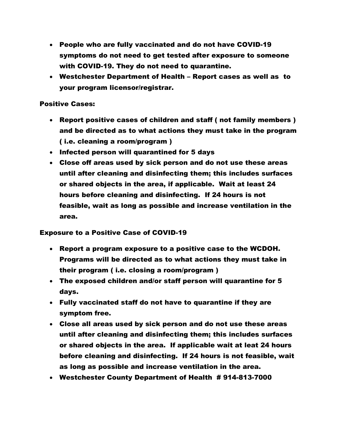- People who are fully vaccinated and do not have COVID-19 symptoms do not need to get tested after exposure to someone with COVID-19. They do not need to quarantine.
- Westchester Department of Health Report cases as well as to your program licensor/registrar.

#### Positive Cases:

- Report positive cases of children and staff ( not family members ) and be directed as to what actions they must take in the program ( i.e. cleaning a room/program )
- Infected person will quarantined for 5 days
- Close off areas used by sick person and do not use these areas until after cleaning and disinfecting them; this includes surfaces or shared objects in the area, if applicable. Wait at least 24 hours before cleaning and disinfecting. If 24 hours is not feasible, wait as long as possible and increase ventilation in the area.

#### Exposure to a Positive Case of COVID-19

- Report a program exposure to a positive case to the WCDOH. Programs will be directed as to what actions they must take in their program ( i.e. closing a room/program )
- The exposed children and/or staff person will quarantine for 5 days.
- Fully vaccinated staff do not have to quarantine if they are symptom free.
- Close all areas used by sick person and do not use these areas until after cleaning and disinfecting them; this includes surfaces or shared objects in the area. If applicable wait at leat 24 hours before cleaning and disinfecting. If 24 hours is not feasible, wait as long as possible and increase ventilation in the area.
- Westchester County Department of Health # 914-813-7000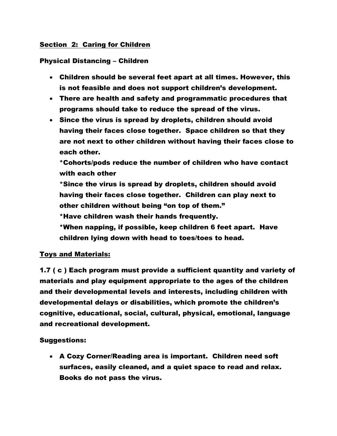## Section 2: Caring for Children

## Physical Distancing – Children

- Children should be several feet apart at all times. However, this is not feasible and does not support children's development.
- There are health and safety and programmatic procedures that programs should take to reduce the spread of the virus.
- Since the virus is spread by droplets, children should avoid having their faces close together. Space children so that they are not next to other children without having their faces close to each other.

\*Cohorts/pods reduce the number of children who have contact with each other

\*Since the virus is spread by droplets, children should avoid having their faces close together. Children can play next to other children without being "on top of them."

\*Have children wash their hands frequently.

\*When napping, if possible, keep children 6 feet apart. Have children lying down with head to toes/toes to head.

## Toys and Materials:

1.7 ( c ) Each program must provide a sufficient quantity and variety of materials and play equipment appropriate to the ages of the children and their developmental levels and interests, including children with developmental delays or disabilities, which promote the children's cognitive, educational, social, cultural, physical, emotional, language and recreational development.

## Suggestions:

• A Cozy Corner/Reading area is important. Children need soft surfaces, easily cleaned, and a quiet space to read and relax. Books do not pass the virus.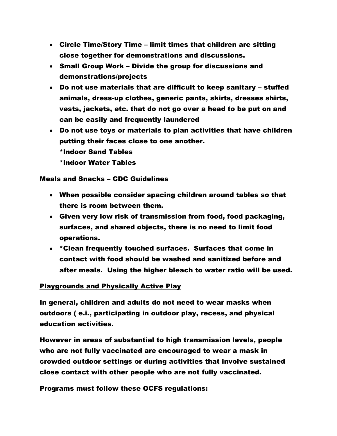- Circle Time/Story Time limit times that children are sitting close together for demonstrations and discussions.
- Small Group Work Divide the group for discussions and demonstrations/projects
- Do not use materials that are difficult to keep sanitary stuffed animals, dress-up clothes, generic pants, skirts, dresses shirts, vests, jackets, etc. that do not go over a head to be put on and can be easily and frequently laundered
- Do not use toys or materials to plan activities that have children putting their faces close to one another. \*Indoor Sand Tables \*Indoor Water Tables

#### Meals and Snacks – CDC Guidelines

- When possible consider spacing children around tables so that there is room between them.
- Given very low risk of transmission from food, food packaging, surfaces, and shared objects, there is no need to limit food operations.
- \*Clean frequently touched surfaces. Surfaces that come in contact with food should be washed and sanitized before and after meals. Using the higher bleach to water ratio will be used.

## Playgrounds and Physically Active Play

In general, children and adults do not need to wear masks when outdoors ( e.i., participating in outdoor play, recess, and physical education activities.

However in areas of substantial to high transmission levels, people who are not fully vaccinated are encouraged to wear a mask in crowded outdoor settings or during activities that involve sustained close contact with other people who are not fully vaccinated.

Programs must follow these OCFS regulations: